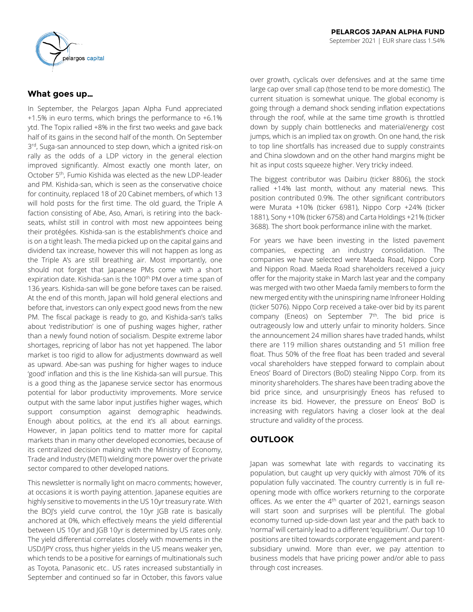

# **What goes up…**

In September, the Pelargos Japan Alpha Fund appreciated +1.5% in euro terms, which brings the performance to +6.1% ytd. The Topix rallied +8% in the first two weeks and gave back half of its gains in the second half of the month. On September 3<sup>rd</sup>, Suga-san announced to step down, which a ignited risk-on rally as the odds of a LDP victory in the general election improved significantly. Almost exactly one month later, on October 5th, Fumio Kishida was elected as the new LDP-leader and PM. Kishida-san, which is seen as the conservative choice for continuity, replaced 18 of 20 Cabinet members, of which 13 will hold posts for the first time. The old guard, the Triple A faction consisting of Abe, Aso, Amari, is retiring into the backseats, whilst still in control with most new appointees being their protégées. Kishida-san is the establishment's choice and is on a tight leash. The media picked up on the capital gains and dividend tax increase, however this will not happen as long as the Triple A's are still breathing air. Most importantly, one should not forget that Japanese PMs come with a short expiration date. Kishida-san is the 100<sup>th</sup> PM over a time span of 136 years. Kishida-san will be gone before taxes can be raised. At the end of this month, Japan will hold general elections and before that, investors can only expect good news from the new PM. The fiscal package is ready to go, and Kishida-san's talks about 'redistribution' is one of pushing wages higher, rather than a newly found notion of socialism. Despite extreme labor shortages, repricing of labor has not yet happened. The labor market is too rigid to allow for adjustments downward as well as upward. Abe-san was pushing for higher wages to induce 'good' inflation and this is the line Kishida-san will pursue. This is a good thing as the Japanese service sector has enormous potential for labor productivity improvements. More service output with the same labor input justifies higher wages, which support consumption against demographic headwinds. Enough about politics, at the end it's all about earnings. However, in Japan politics tend to matter more for capital markets than in many other developed economies, because of its centralized decision making with the Ministry of Economy, Trade and Industry (METI) wielding more power over the private sector compared to other developed nations.

This newsletter is normally light on macro comments; however, at occasions it is worth paying attention. Japanese equities are highly sensitive to movements in the US 10yr treasury rate. With the BOI's yield curve control, the 10yr IGB rate is basically anchored at 0%, which effectively means the yield differential between US 10yr and JGB 10yr is determined by US rates only. The yield differential correlates closely with movements in the USD/JPY cross, thus higher yields in the US means weaker yen, which tends to be a positive for earnings of multinationals such as Toyota, Panasonic etc.. US rates increased substantially in September and continued so far in October, this favors value

over growth, cyclicals over defensives and at the same time large cap over small cap (those tend to be more domestic). The current situation is somewhat unique. The global economy is going through a demand shock sending inflation expectations through the roof, while at the same time growth is throttled down by supply chain bottlenecks and material/energy cost jumps, which is an implied tax on growth. On one hand, the risk to top line shortfalls has increased due to supply constraints and China slowdown and on the other hand margins might be hit as input costs squeeze higher. Very tricky indeed.

The biggest contributor was Daibiru (ticker 8806), the stock rallied +14% last month, without any material news. This position contributed 0.9%. The other significant contributors were Murata +10% (ticker 6981), Nippo Corp +24% (ticker 1881), Sony +10% (ticker 6758) and Carta Holdings +21% (ticker 3688). The short book performance inline with the market.

For years we have been investing in the listed pavement companies, expecting an industry consolidation. The companies we have selected were Maeda Road, Nippo Corp and Nippon Road. Maeda Road shareholders received a juicy offer for the majority stake in March last year and the company was merged with two other Maeda family members to form the new merged entity with the uninspiring name Infroneer Holding (ticker 5076). Nippo Corp received a take-over bid by its parent company (Eneos) on September 7<sup>th</sup>. The bid price is outrageously low and utterly unfair to minority holders. Since the announcement 24 million shares have traded hands, whilst there are 119 million shares outstanding and 51 million free float. Thus 50% of the free float has been traded and several vocal shareholders have stepped forward to complain about Eneos' Board of Directors (BoD) stealing Nippo Corp. from its minority shareholders. The shares have been trading above the bid price since, and unsurprisingly Eneos has refused to increase its bid. However, the pressure on Eneos' BoD is increasing with regulators having a closer look at the deal structure and validity of the process.

# **OUTLOOK**

Japan was somewhat late with regards to vaccinating its population, but caught up very quickly with almost 70% of its population fully vaccinated. The country currently is in full reopening mode with office workers returning to the corporate offices. As we enter the 4<sup>th</sup> quarter of 2021, earnings season will start soon and surprises will be plentiful. The global economy turned up-side-down last year and the path back to 'normal' will certainly lead to a different 'equilibrium'. Our top 10 positions are tilted towards corporate engagement and parentsubsidiary unwind. More than ever, we pay attention to business models that have pricing power and/or able to pass through cost increases.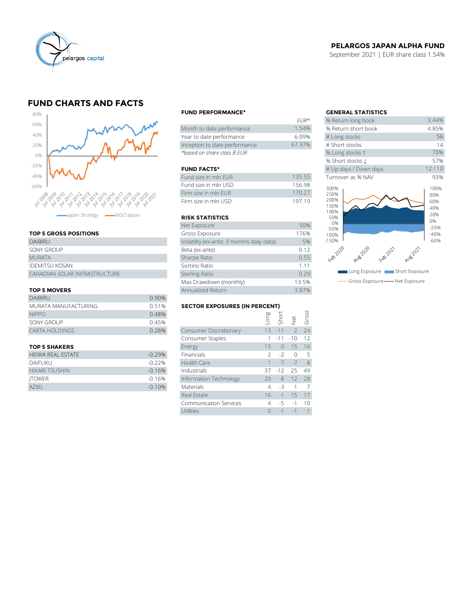

## **PELARGOS JAPAN ALPHA FUND**

September 2021 | EUR share class 1.54%

# **FUND CHARTS AND FACTS**



#### **TOP 5 GROSS POSITIONS**

| apan Strategy <b>- MSCI</b> Japan |                | <b>RISK STATIS</b>    |
|-----------------------------------|----------------|-----------------------|
|                                   |                | Net Exposure          |
| <b>TOP 5 GROSS POSITIONS</b>      |                | Gross Exposu          |
| <b>DAIBIRU</b>                    |                | Volatility (ex-ar     |
| <b>SONY GROUP</b>                 | 0 <sub>1</sub> | Beta (ex-ante)        |
| <b>MURATA</b>                     |                | Sharpe Ratio          |
| <b>IDEMITSU KOSAN</b>             |                | Sortino Ratio         |
| CANADIAN SOLAR INFRASTRUCTURE     |                | <b>Sterling Ratio</b> |
|                                   |                | Max Drawdow           |
|                                   |                |                       |

#### **TOP 5 MOVERS**

|                       | Max Drawdown (monthly)               | 13.5%                         |  |               |               |              |
|-----------------------|--------------------------------------|-------------------------------|--|---------------|---------------|--------------|
| <b>TOP 5 MOVERS</b>   | Annualized Return                    |                               |  |               | 3.87%         |              |
| <b>DAIBIRU</b>        | 0.90%                                |                               |  |               |               |              |
| MURATA MANUFACTURING  | <b>SECTOR EXPOSURES (IN PERCENT)</b> |                               |  |               |               |              |
| <b>NIPPO</b>          | 0.48%                                |                               |  | Long<br>Short |               | ssoug<br>Gro |
| SONY GROUP            | 0.45%                                |                               |  |               | $\Rightarrow$ |              |
| <b>CARTA HOLDINGS</b> | 0.28%                                | <b>Consumer Discretionary</b> |  | $13 - 11$     |               | 24           |
|                       |                                      | Consumer Staples              |  | $1 - 11 - 10$ |               | 12           |
|                       |                                      |                               |  |               |               |              |

| <b>HEIWA REAL ESTATE</b> | $-0.29%$ | Financials             | $2 - 2 0$      | $-5$ |
|--------------------------|----------|------------------------|----------------|------|
| DAIFUKU                  | $-0.22%$ | Health Care            | $1 - 7 - 7$ 8  |      |
| <b>HIKARI TSUSHIN</b>    | $-0.16%$ | Industrials            | 37 -12 25 49   |      |
| <b>ITOWER</b>            | $-0.16%$ | Information Technology | $20 - 8$ 12 28 |      |
| <b>AZBIL</b>             | $-0.10%$ | Materials              | 431            |      |

#### **FUND PERFORMANCE\* GENERAL STATISTICS**

|                               | .      |                     |
|-------------------------------|--------|---------------------|
| Month to date performance     | 1.54%  | % Return short book |
| Year to date performance      | 6.09%  | # Long stocks       |
| Inception to date performance | 67.37% | # Short stocks      |
| *based on share class B EUR   |        | % Long stocks 1     |

#### **FUND FACTS\***

| Fund size in mln EUR | 135.55 | Turnover as % NAV |
|----------------------|--------|-------------------|
| Fund size in mln USD | 15698  | 300%              |
| Firm size in mln EUR | 170.27 | 250%              |
| Firm size in mln USD | 19719  | 200%<br>1.5001    |

#### **RISK STATISTICS**

| Firm size in mln FUR                      | 170.27 |
|-------------------------------------------|--------|
| Firm size in mln USD                      | 197.19 |
|                                           |        |
| <b>RISK STATISTICS</b>                    |        |
| Net Exposure                              | 50%    |
| Gross Exposure                            | 176%   |
| Volatility (ex-ante; 3 months daily data) | 5%     |
| Beta (ex-ante)                            | 0.12   |
| Sharpe Ratio                              | 0.55   |
| Sortino Ratio                             | 1.11   |
| <b>Sterling Ratio</b>                     | 0.29   |
| Max Drawdown (monthly)                    | 13.5%  |
| Annualized Return                         | 3.87%  |

# MURATA MANUFACTURING **SECTOR EXPOSURES (IN PERCENT)**

| <b>TOP 5 MOVERS</b>      | Annualized Return                    | 3.87%                         |      |           |               |              |
|--------------------------|--------------------------------------|-------------------------------|------|-----------|---------------|--------------|
| <b>DAIBIRU</b>           | 0.90%                                |                               |      |           |               |              |
| MURATA MANUFACTURING     | <b>SECTOR EXPOSURES (IN PERCENT)</b> |                               |      |           |               |              |
| <b>NIPPO</b>             | 0.48%                                |                               | suo- | Short     |               | Gross        |
| SONY GROUP               | 0.45%                                |                               |      |           | Net           |              |
| <b>CARTA HOLDINGS</b>    | 0.28%                                | Consumer Discretionary        |      | $13 - 11$ | $\mathcal{P}$ | 24           |
|                          |                                      | Consumer Staples              |      | $-11$     | $-10$         | 12           |
| <b>TOP 5 SHAKERS</b>     |                                      | Energy                        | 15   | $\bigcap$ | 15            | 16           |
| <b>HEIWA REAL ESTATE</b> | $-0.29%$                             | Financials                    | 2    | $-2$      | $\Omega$      | .5           |
| <b>DAIFUKU</b>           | $-0.22%$                             | Health Care                   |      | $-7$      | $-7$          | 8            |
| <b>HIKARI TSUSHIN</b>    | $-0.16%$                             | Industrials                   | 37   | $-12$     | 25            | 49           |
| <b>ITOWER</b>            | $-0.16%$                             | Information Technology        | 20   | -8        | 12            | 28           |
| AZBIL                    | $-0.10%$                             | Materials                     | 4    | $-3$      |               |              |
|                          |                                      | Real Estate                   | 16   | $-1$      | 15            | 17           |
|                          |                                      | <b>Communication Services</b> | 4    | -5        | $-1$          | 10           |
|                          |                                      | Utilities                     | 0    | $-1$      | $-1$          | $\mathbf{1}$ |
|                          |                                      |                               |      |           |               |              |

|                            | <b>GENERAL STATISTICS</b>                   |                                  |
|----------------------------|---------------------------------------------|----------------------------------|
| $FIR*$                     | % Return long book                          | 3.44%                            |
| 1.54%                      | % Return short book                         | 4.85%                            |
| 6.09%                      | # Long stocks                               | 56                               |
| 67.37%                     | # Short stocks                              | 14                               |
|                            | % Long stocks 1                             | 70%                              |
|                            | % Short stocks L                            | 57%                              |
|                            | # Up days / Down days                       | 12/10                            |
| 135.55                     | Turnover as % NAV                           | 93%                              |
| 156.98<br>170.27<br>197.19 | 300%<br>250%<br>200%<br>150%<br>100%<br>50% | 100%<br>80%<br>60%<br>40%<br>20% |
| 50%                        | 0%                                          | 0%<br>$-20%$                     |
| 176%                       | $-50%$<br>$-100%$                           | $-40%$                           |
| 5%                         | $-150%$                                     | $-60%$                           |
| 0.12                       |                                             |                                  |
| 0.55                       | Feb 2020<br>Auselal<br>Aug2020<br>Feb 2021  |                                  |
| 1.11                       |                                             |                                  |
| 0.29                       | Short Exposure<br>Long Exposure             |                                  |
| 13.5%                      | Gross Exposure - Net Exposure               |                                  |